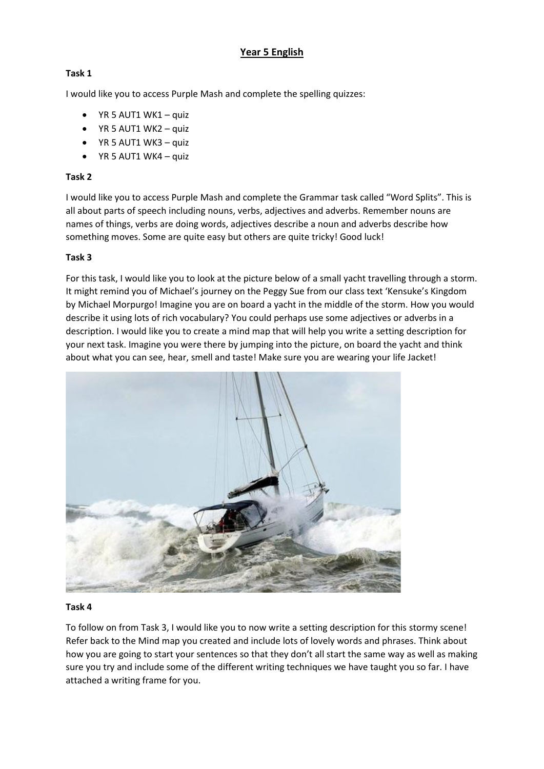# **Year 5 English**

## **Task 1**

I would like you to access Purple Mash and complete the spelling quizzes:

- YR 5 AUT1 WK1 quiz
- YR 5 AUT1 WK2 quiz
- YR 5 AUT1 WK3 quiz
- $\bullet$  YR 5 AUT1 WK4 quiz

## **Task 2**

I would like you to access Purple Mash and complete the Grammar task called "Word Splits". This is all about parts of speech including nouns, verbs, adjectives and adverbs. Remember nouns are names of things, verbs are doing words, adjectives describe a noun and adverbs describe how something moves. Some are quite easy but others are quite tricky! Good luck!

### **Task 3**

For this task, I would like you to look at the picture below of a small yacht travelling through a storm. It might remind you of Michael's journey on the Peggy Sue from our class text 'Kensuke's Kingdom by Michael Morpurgo! Imagine you are on board a yacht in the middle of the storm. How you would describe it using lots of rich vocabulary? You could perhaps use some adjectives or adverbs in a description. I would like you to create a mind map that will help you write a setting description for your next task. Imagine you were there by jumping into the picture, on board the yacht and think about what you can see, hear, smell and taste! Make sure you are wearing your life Jacket!



#### **Task 4**

To follow on from Task 3, I would like you to now write a setting description for this stormy scene! Refer back to the Mind map you created and include lots of lovely words and phrases. Think about how you are going to start your sentences so that they don't all start the same way as well as making sure you try and include some of the different writing techniques we have taught you so far. I have attached a writing frame for you.